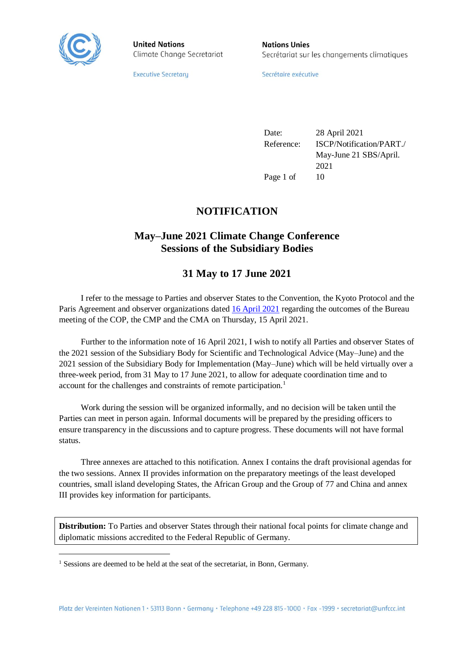

 $\overline{a}$ 

**United Nations** Climate Change Secretariat **Nations Unies** Secrétariat sur les changements climatiques

**Executive Secretary** 

Secrétaire exécutive

Date: 28 April 2021 Reference: ISCP/Notification/PART./ May-June 21 SBS/April. 2021 Page 1 of 10

# **NOTIFICATION**

# **May–June 2021 Climate Change Conference Sessions of the Subsidiary Bodies**

# **31 May to 17 June 2021**

I refer to the message to Parties and observer States to the Convention, the Kyoto Protocol and the Paris Agreement and observer organizations date[d 16 April](https://unfccc.int/sites/default/files/resource/message_to_parties_and_observers-outcomes_of_the_15_april_bureau_meeting.pdf) 2021 regarding the outcomes of the Bureau meeting of the COP, the CMP and the CMA on Thursday, 15 April 2021.

Further to the information note of 16 April 2021, I wish to notify all Parties and observer States of the 2021 session of the Subsidiary Body for Scientific and Technological Advice (May–June) and the 2021 session of the Subsidiary Body for Implementation (May–June) which will be held virtually over a three-week period, from 31 May to 17 June 2021, to allow for adequate coordination time and to account for the challenges and constraints of remote participation.<sup>1</sup>

Work during the session will be organized informally, and no decision will be taken until the Parties can meet in person again. Informal documents will be prepared by the presiding officers to ensure transparency in the discussions and to capture progress. These documents will not have formal status.

Three annexes are attached to this notification. Annex I contains the draft provisional agendas for the two sessions. Annex II provides information on the preparatory meetings of the least developed countries, small island developing States, the African Group and the Group of 77 and China and annex III provides key information for participants.

**Distribution:** To Parties and observer States through their national focal points for climate change and diplomatic missions accredited to the Federal Republic of Germany.

<sup>&</sup>lt;sup>1</sup> Sessions are deemed to be held at the seat of the secretariat, in Bonn, Germany.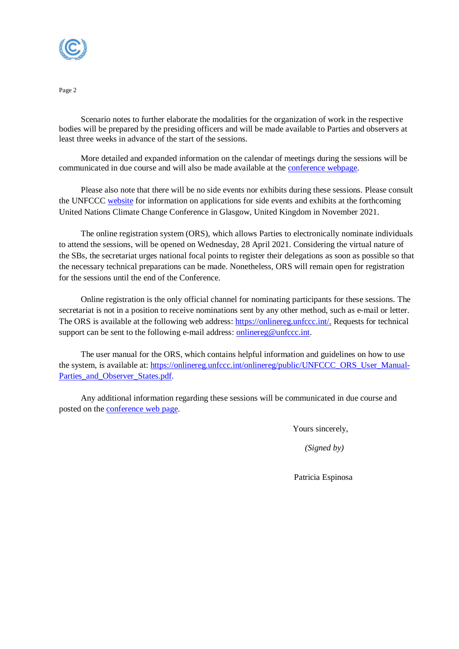

Scenario notes to further elaborate the modalities for the organization of work in the respective bodies will be prepared by the presiding officers and will be made available to Parties and observers at least three weeks in advance of the start of the sessions.

More detailed and expanded information on the calendar of meetings during the sessions will be communicated in due course and will also be made available at the [conference webpage.](https://unfccc.int/process-and-meetings/conferences/may-june-2021-climate-change-conference-sessions-of-the-subsidiary-bodies)

Please also note that there will be no side events nor exhibits during these sessions. Please consult the UNFCCC [website](https://unfccc.int/process-and-meetings/conferences/glasgow-climate-change-conference) for information on applications for side events and exhibits at the forthcoming United Nations Climate Change Conference in Glasgow, United Kingdom in November 2021.

The online registration system (ORS), which allows Parties to electronically nominate individuals to attend the sessions, will be opened on Wednesday, 28 April 2021. Considering the virtual nature of the SBs, the secretariat urges national focal points to register their delegations as soon as possible so that the necessary technical preparations can be made. Nonetheless, ORS will remain open for registration for the sessions until the end of the Conference.

Online registration is the only official channel for nominating participants for these sessions. The secretariat is not in a position to receive nominations sent by any other method, such as e-mail or letter. The ORS is available at the following web address: [https://onlinereg.unfccc.int/.](https://onlinereg.unfccc.int/) Requests for technical support can be sent to the following e-mail address: [onlinereg@unfccc.int.](mailto:onlinereg@unfccc.int)

The user manual for the ORS, which contains helpful information and guidelines on how to use the system, is available at: [https://onlinereg.unfccc.int/onlinereg/public/UNFCCC\\_ORS\\_User\\_Manual-](https://onlinereg.unfccc.int/onlinereg/public/UNFCCC_ORS_User_Manual-Parties_and_Observer_States.pdf)[Parties\\_and\\_Observer\\_States.pdf.](https://onlinereg.unfccc.int/onlinereg/public/UNFCCC_ORS_User_Manual-Parties_and_Observer_States.pdf)

Any additional information regarding these sessions will be communicated in due course and posted on the [conference](https://unfccc.int/process-and-meetings/conferences/may-june-2021-climate-change-conference-sessions-of-the-subsidiary-bodies) web page.

Yours sincerely,

*(Signed by)*

Patricia Espinosa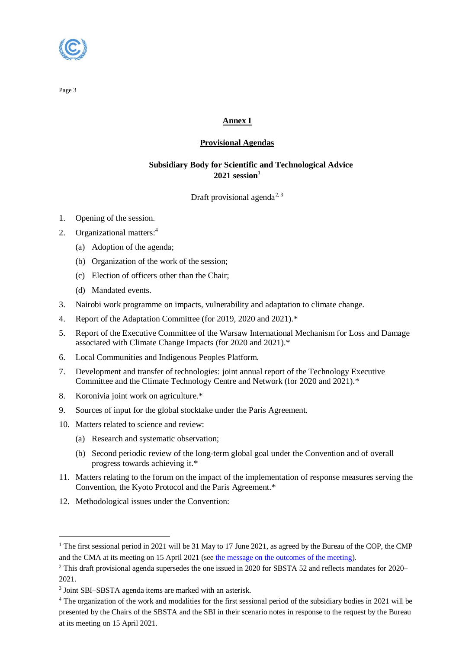

## **Annex I**

## **Provisional Agendas**

## **Subsidiary Body for Scientific and Technological Advice 2021 session<sup>1</sup>**

Draft provisional agenda<sup>2, 3</sup>

- 1. Opening of the session.
- 2. Organizational matters:<sup>4</sup>
	- (a) Adoption of the agenda;
	- (b) Organization of the work of the session;
	- (c) Election of officers other than the Chair;
	- (d) Mandated events.
- 3. Nairobi work programme on impacts, vulnerability and adaptation to climate change.
- 4. Report of the Adaptation Committee (for 2019, 2020 and 2021).\*
- 5. Report of the Executive Committee of the Warsaw International Mechanism for Loss and Damage associated with Climate Change Impacts (for 2020 and 2021).\*
- 6. Local Communities and Indigenous Peoples Platform.
- 7. Development and transfer of technologies: joint annual report of the Technology Executive Committee and the Climate Technology Centre and Network (for 2020 and 2021).\*
- 8. Koronivia joint work on agriculture.\*
- 9. Sources of input for the global stocktake under the Paris Agreement.
- 10. Matters related to science and review:
	- (a) Research and systematic observation;
	- (b) Second periodic review of the long-term global goal under the Convention and of overall progress towards achieving it.\*
- 11. Matters relating to the forum on the impact of the implementation of response measures serving the Convention, the Kyoto Protocol and the Paris Agreement.\*
- 12. Methodological issues under the Convention:

 $\overline{a}$ 

<sup>&</sup>lt;sup>1</sup> The first sessional period in 2021 will be 31 May to 17 June 2021, as agreed by the Bureau of the COP, the CMP and the CMA at its meeting on 15 April 2021 (se[e the message on the outcomes of the meeting\)](https://unfccc.int/sites/default/files/resource/message_to_parties_and_observers-outcomes_of_the_15_april_bureau_meeting.pdf).

<sup>&</sup>lt;sup>2</sup> This draft provisional agenda supersedes the one issued in 2020 for SBSTA 52 and reflects mandates for 2020– 2021.

<sup>&</sup>lt;sup>3</sup> Joint SBI-SBSTA agenda items are marked with an asterisk.

<sup>4</sup> The organization of the work and modalities for the first sessional period of the subsidiary bodies in 2021 will be presented by the Chairs of the SBSTA and the SBI in their scenario notes in response to the request by the Bureau at its meeting on 15 April 2021.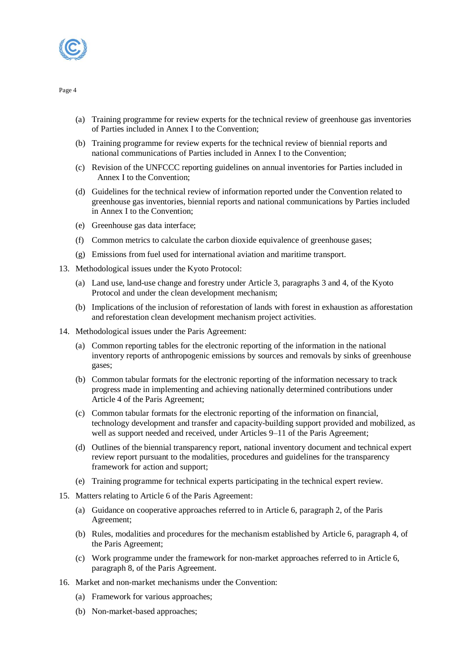

- (a) Training programme for review experts for the technical review of greenhouse gas inventories of Parties included in Annex I to the Convention;
- (b) Training programme for review experts for the technical review of biennial reports and national communications of Parties included in Annex I to the Convention;
- (c) Revision of the UNFCCC reporting guidelines on annual inventories for Parties included in Annex I to the Convention;
- (d) Guidelines for the technical review of information reported under the Convention related to greenhouse gas inventories, biennial reports and national communications by Parties included in Annex I to the Convention;
- (e) Greenhouse gas data interface;
- (f) Common metrics to calculate the carbon dioxide equivalence of greenhouse gases;
- (g) Emissions from fuel used for international aviation and maritime transport.
- 13. Methodological issues under the Kyoto Protocol:
	- (a) Land use, land-use change and forestry under Article 3, paragraphs 3 and 4, of the Kyoto Protocol and under the clean development mechanism;
	- (b) Implications of the inclusion of reforestation of lands with forest in exhaustion as afforestation and reforestation clean development mechanism project activities.
- 14. Methodological issues under the Paris Agreement:
	- (a) Common reporting tables for the electronic reporting of the information in the national inventory reports of anthropogenic emissions by sources and removals by sinks of greenhouse gases;
	- (b) Common tabular formats for the electronic reporting of the information necessary to track progress made in implementing and achieving nationally determined contributions under Article 4 of the Paris Agreement;
	- (c) Common tabular formats for the electronic reporting of the information on financial, technology development and transfer and capacity-building support provided and mobilized, as well as support needed and received, under Articles 9–11 of the Paris Agreement;
	- (d) Outlines of the biennial transparency report, national inventory document and technical expert review report pursuant to the modalities, procedures and guidelines for the transparency framework for action and support;
	- (e) Training programme for technical experts participating in the technical expert review.
- 15. Matters relating to Article 6 of the Paris Agreement:
	- (a) Guidance on cooperative approaches referred to in Article 6, paragraph 2, of the Paris Agreement;
	- (b) Rules, modalities and procedures for the mechanism established by Article 6, paragraph 4, of the Paris Agreement;
	- (c) Work programme under the framework for non-market approaches referred to in Article 6, paragraph 8, of the Paris Agreement.
- 16. Market and non-market mechanisms under the Convention:
	- (a) Framework for various approaches;
	- (b) Non-market-based approaches;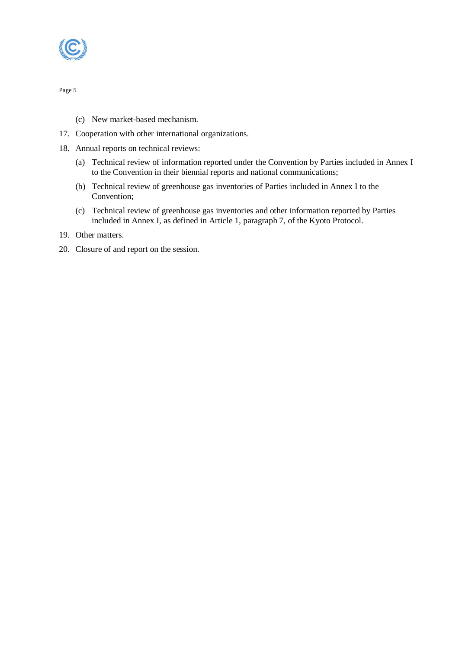

- (c) New market-based mechanism.
- 17. Cooperation with other international organizations.
- 18. Annual reports on technical reviews:
	- (a) Technical review of information reported under the Convention by Parties included in Annex I to the Convention in their biennial reports and national communications;
	- (b) Technical review of greenhouse gas inventories of Parties included in Annex I to the Convention;
	- (c) Technical review of greenhouse gas inventories and other information reported by Parties included in Annex I, as defined in Article 1, paragraph 7, of the Kyoto Protocol.
- 19. Other matters.
- 20. Closure of and report on the session.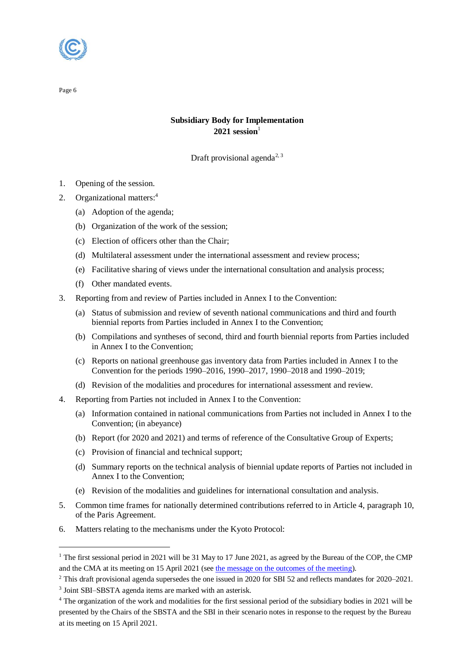

 $\overline{a}$ 

## **Subsidiary Body for Implementation**  $2021$  **session**<sup>1</sup>

Draft provisional agenda<sup>2, 3</sup>

- 1. Opening of the session.
- 2. Organizational matters:<sup>4</sup>
	- (a) Adoption of the agenda;
	- (b) Organization of the work of the session;
	- (c) Election of officers other than the Chair;
	- (d) Multilateral assessment under the international assessment and review process;
	- (e) Facilitative sharing of views under the international consultation and analysis process;
	- (f) Other mandated events.
- 3. Reporting from and review of Parties included in Annex I to the Convention:
	- (a) Status of submission and review of seventh national communications and third and fourth biennial reports from Parties included in Annex I to the Convention;
	- (b) Compilations and syntheses of second, third and fourth biennial reports from Parties included in Annex I to the Convention;
	- (c) Reports on national greenhouse gas inventory data from Parties included in Annex I to the Convention for the periods 1990–2016, 1990–2017, 1990–2018 and 1990–2019;
	- (d) Revision of the modalities and procedures for international assessment and review.
- 4. Reporting from Parties not included in Annex I to the Convention:
	- (a) Information contained in national communications from Parties not included in Annex I to the Convention; (in abeyance)
	- (b) Report (for 2020 and 2021) and terms of reference of the Consultative Group of Experts;
	- (c) Provision of financial and technical support;
	- (d) Summary reports on the technical analysis of biennial update reports of Parties not included in Annex I to the Convention;
	- (e) Revision of the modalities and guidelines for international consultation and analysis.
- 5. Common time frames for nationally determined contributions referred to in Article 4, paragraph 10, of the Paris Agreement.
- 6. Matters relating to the mechanisms under the Kyoto Protocol:

<sup>&</sup>lt;sup>1</sup> The first sessional period in 2021 will be 31 May to 17 June 2021, as agreed by the Bureau of the COP, the CMP and the CMA at its meeting on 15 April 2021 (se[e the message on the outcomes of the meeting\)](https://unfccc.int/sites/default/files/resource/message_to_parties_and_observers-outcomes_of_the_15_april_bureau_meeting.pdf).

<sup>&</sup>lt;sup>2</sup> This draft provisional agenda supersedes the one issued in 2020 for SBI 52 and reflects mandates for 2020–2021.

<sup>&</sup>lt;sup>3</sup> Joint SBI–SBSTA agenda items are marked with an asterisk.

<sup>4</sup> The organization of the work and modalities for the first sessional period of the subsidiary bodies in 2021 will be presented by the Chairs of the SBSTA and the SBI in their scenario notes in response to the request by the Bureau at its meeting on 15 April 2021.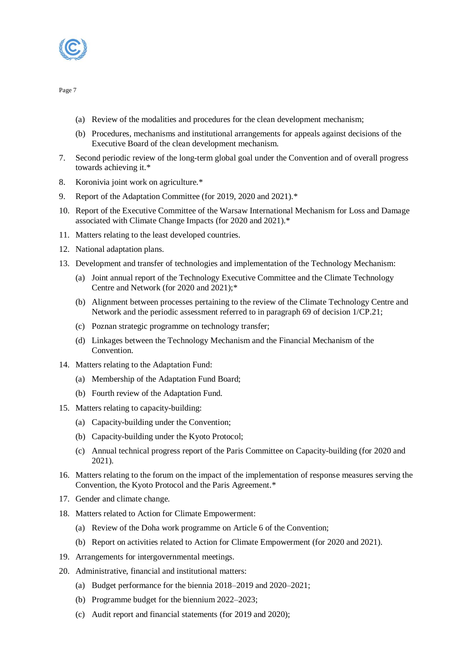

- (a) Review of the modalities and procedures for the clean development mechanism;
- (b) Procedures, mechanisms and institutional arrangements for appeals against decisions of the Executive Board of the clean development mechanism.
- 7. Second periodic review of the long-term global goal under the Convention and of overall progress towards achieving it.\*
- 8. Koronivia joint work on agriculture.\*
- 9. Report of the Adaptation Committee (for 2019, 2020 and 2021).\*
- 10. Report of the Executive Committee of the Warsaw International Mechanism for Loss and Damage associated with Climate Change Impacts (for 2020 and 2021).\*
- 11. Matters relating to the least developed countries.
- 12. National adaptation plans.
- 13. Development and transfer of technologies and implementation of the Technology Mechanism:
	- (a) Joint annual report of the Technology Executive Committee and the Climate Technology Centre and Network (for 2020 and 2021);\*
	- (b) Alignment between processes pertaining to the review of the Climate Technology Centre and Network and the periodic assessment referred to in paragraph 69 of decision 1/CP.21;
	- (c) Poznan strategic programme on technology transfer;
	- (d) Linkages between the Technology Mechanism and the Financial Mechanism of the Convention.
- 14. Matters relating to the Adaptation Fund:
	- (a) Membership of the Adaptation Fund Board;
	- (b) Fourth review of the Adaptation Fund.
- 15. Matters relating to capacity-building:
	- (a) Capacity-building under the Convention;
	- (b) Capacity-building under the Kyoto Protocol;
	- (c) Annual technical progress report of the Paris Committee on Capacity-building (for 2020 and 2021).
- 16. Matters relating to the forum on the impact of the implementation of response measures serving the Convention, the Kyoto Protocol and the Paris Agreement.\*
- 17. Gender and climate change.
- 18. Matters related to Action for Climate Empowerment:
	- (a) Review of the Doha work programme on Article 6 of the Convention;
	- (b) Report on activities related to Action for Climate Empowerment (for 2020 and 2021).
- 19. Arrangements for intergovernmental meetings.
- 20. Administrative, financial and institutional matters:
	- (a) Budget performance for the biennia 2018–2019 and 2020–2021;
	- (b) Programme budget for the biennium 2022–2023;
	- (c) Audit report and financial statements (for 2019 and 2020);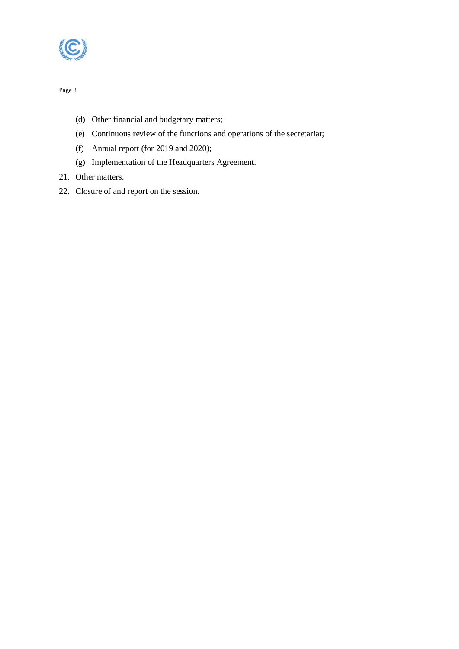

- (d) Other financial and budgetary matters;
- (e) Continuous review of the functions and operations of the secretariat;
- (f) Annual report (for 2019 and 2020);
- (g) Implementation of the Headquarters Agreement.
- 21. Other matters.
- 22. Closure of and report on the session.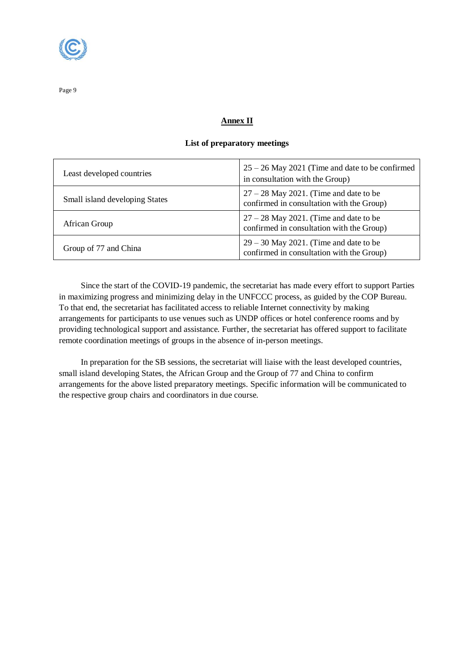

### **Annex II**

#### **List of preparatory meetings**

| Least developed countries      | $25 - 26$ May 2021 (Time and date to be confirmed<br>in consultation with the Group)  |
|--------------------------------|---------------------------------------------------------------------------------------|
| Small island developing States | $27 - 28$ May 2021. (Time and date to be<br>confirmed in consultation with the Group) |
| African Group                  | $27 - 28$ May 2021. (Time and date to be<br>confirmed in consultation with the Group) |
| Group of 77 and China          | $29 - 30$ May 2021. (Time and date to be<br>confirmed in consultation with the Group) |

Since the start of the COVID-19 pandemic, the secretariat has made every effort to support Parties in maximizing progress and minimizing delay in the UNFCCC process, as guided by the COP Bureau. To that end, the secretariat has facilitated access to reliable Internet connectivity by making arrangements for participants to use venues such as UNDP offices or hotel conference rooms and by providing technological support and assistance. Further, the secretariat has offered support to facilitate remote coordination meetings of groups in the absence of in-person meetings.

In preparation for the SB sessions, the secretariat will liaise with the least developed countries, small island developing States, the African Group and the Group of 77 and China to confirm arrangements for the above listed preparatory meetings. Specific information will be communicated to the respective group chairs and coordinators in due course.